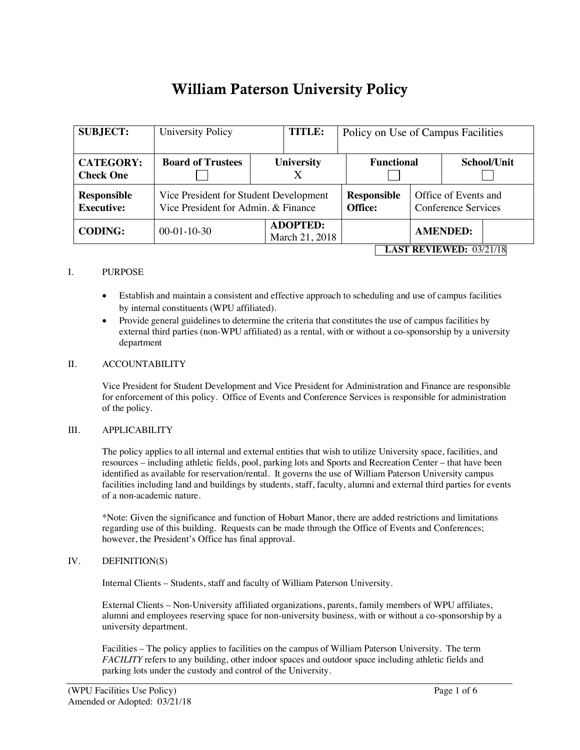# William Paterson University Policy

| <b>SUBJECT:</b>                         | University Policy                                                             | <b>TITLE:</b>                     | Policy on Use of Campus Facilities |                                             |                 |             |  |
|-----------------------------------------|-------------------------------------------------------------------------------|-----------------------------------|------------------------------------|---------------------------------------------|-----------------|-------------|--|
| <b>CATEGORY:</b><br><b>Check One</b>    | <b>Board of Trustees</b>                                                      | <b>University</b><br>X            |                                    | <b>Functional</b>                           |                 | School/Unit |  |
| <b>Responsible</b><br><b>Executive:</b> | Vice President for Student Development<br>Vice President for Admin. & Finance |                                   | <b>Responsible</b><br>Office:      | Office of Events and<br>Conference Services |                 |             |  |
| <b>CODING:</b>                          | $00-01-10-30$                                                                 | <b>ADOPTED:</b><br>March 21, 2018 |                                    |                                             | <b>AMENDED:</b> |             |  |
| <b>LAST REVIEWED: 03/21/18</b>          |                                                                               |                                   |                                    |                                             |                 |             |  |

## I. PURPOSE

- Establish and maintain a consistent and effective approach to scheduling and use of campus facilities by internal constituents (WPU affiliated).
- Provide general guidelines to determine the criteria that constitutes the use of campus facilities by external third parties (non-WPU affiliated) as a rental, with or without a co-sponsorship by a university department

#### II. ACCOUNTABILITY

Vice President for Student Development and Vice President for Administration and Finance are responsible for enforcement of this policy. Office of Events and Conference Services is responsible for administration of the policy.

#### III. APPLICABILITY

The policy applies to all internal and external entities that wish to utilize University space, facilities, and resources – including athletic fields, pool, parking lots and Sports and Recreation Center – that have been identified as available for reservation/rental. It governs the use of William Paterson University campus facilities including land and buildings by students, staff, faculty, alumni and external third parties for events of a non-academic nature.

\*Note: Given the significance and function of Hobart Manor, there are added restrictions and limitations regarding use of this building. Requests can be made through the Office of Events and Conferences; however, the President's Office has final approval.

#### IV. DEFINITION(S)

Internal Clients – Students, staff and faculty of William Paterson University.

External Clients – Non-University affiliated organizations, parents, family members of WPU affiliates, alumni and employees reserving space for non-university business, with or without a co-sponsorship by a university department.

Facilities – The policy applies to facilities on the campus of William Paterson University. The term *FACILITY* refers to any building, other indoor spaces and outdoor space including athletic fields and parking lots under the custody and control of the University.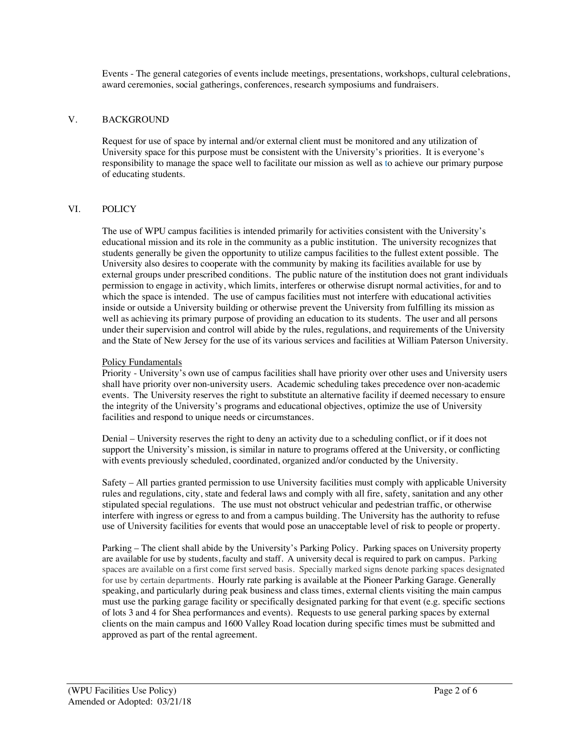Events - The general categories of events include meetings, presentations, workshops, cultural celebrations, award ceremonies, social gatherings, conferences, research symposiums and fundraisers.

## V. BACKGROUND

Request for use of space by internal and/or external client must be monitored and any utilization of University space for this purpose must be consistent with the University's priorities. It is everyone's responsibility to manage the space well to facilitate our mission as well as to achieve our primary purpose of educating students.

## VI. POLICY

The use of WPU campus facilities is intended primarily for activities consistent with the University's educational mission and its role in the community as a public institution. The university recognizes that students generally be given the opportunity to utilize campus facilities to the fullest extent possible. The University also desires to cooperate with the community by making its facilities available for use by external groups under prescribed conditions. The public nature of the institution does not grant individuals permission to engage in activity, which limits, interferes or otherwise disrupt normal activities, for and to which the space is intended. The use of campus facilities must not interfere with educational activities inside or outside a University building or otherwise prevent the University from fulfilling its mission as well as achieving its primary purpose of providing an education to its students. The user and all persons under their supervision and control will abide by the rules, regulations, and requirements of the University and the State of New Jersey for the use of its various services and facilities at William Paterson University.

## Policy Fundamentals

Priority - University's own use of campus facilities shall have priority over other uses and University users shall have priority over non-university users. Academic scheduling takes precedence over non-academic events. The University reserves the right to substitute an alternative facility if deemed necessary to ensure the integrity of the University's programs and educational objectives, optimize the use of University facilities and respond to unique needs or circumstances.

Denial – University reserves the right to deny an activity due to a scheduling conflict, or if it does not support the University's mission, is similar in nature to programs offered at the University, or conflicting with events previously scheduled, coordinated, organized and/or conducted by the University.

Safety – All parties granted permission to use University facilities must comply with applicable University rules and regulations, city, state and federal laws and comply with all fire, safety, sanitation and any other stipulated special regulations. The use must not obstruct vehicular and pedestrian traffic, or otherwise interfere with ingress or egress to and from a campus building. The University has the authority to refuse use of University facilities for events that would pose an unacceptable level of risk to people or property.

Parking – The client shall abide by the University's Parking Policy. Parking spaces on University property are available for use by students, faculty and staff. A university decal is required to park on campus. Parking spaces are available on a first come first served basis. Specially marked signs denote parking spaces designated for use by certain departments. Hourly rate parking is available at the Pioneer Parking Garage. Generally speaking, and particularly during peak business and class times, external clients visiting the main campus must use the parking garage facility or specifically designated parking for that event (e.g. specific sections of lots 3 and 4 for Shea performances and events). Requests to use general parking spaces by external clients on the main campus and 1600 Valley Road location during specific times must be submitted and approved as part of the rental agreement.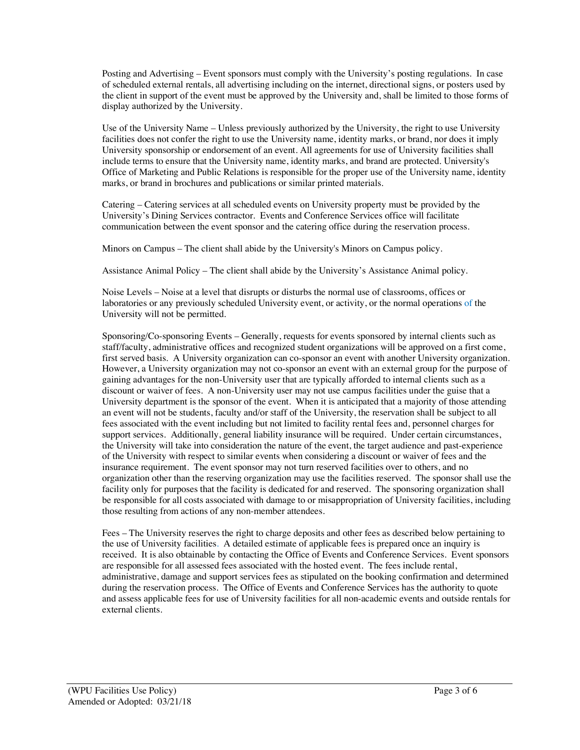Posting and Advertising – Event sponsors must comply with the University's posting regulations. In case of scheduled external rentals, all advertising including on the internet, directional signs, or posters used by the client in support of the event must be approved by the University and, shall be limited to those forms of display authorized by the University.

Use of the University Name – Unless previously authorized by the University, the right to use University facilities does not confer the right to use the University name, identity marks, or brand, nor does it imply University sponsorship or endorsement of an event. All agreements for use of University facilities shall include terms to ensure that the University name, identity marks, and brand are protected. University's Office of Marketing and Public Relations is responsible for the proper use of the University name, identity marks, or brand in brochures and publications or similar printed materials.

Catering – Catering services at all scheduled events on University property must be provided by the University's Dining Services contractor. Events and Conference Services office will facilitate communication between the event sponsor and the catering office during the reservation process.

Minors on Campus – The client shall abide by the University's Minors on Campus policy.

Assistance Animal Policy – The client shall abide by the University's Assistance Animal policy.

Noise Levels – Noise at a level that disrupts or disturbs the normal use of classrooms, offices or laboratories or any previously scheduled University event, or activity, or the normal operations of the University will not be permitted.

Sponsoring/Co-sponsoring Events – Generally, requests for events sponsored by internal clients such as staff/faculty, administrative offices and recognized student organizations will be approved on a first come, first served basis. A University organization can co-sponsor an event with another University organization. However, a University organization may not co-sponsor an event with an external group for the purpose of gaining advantages for the non-University user that are typically afforded to internal clients such as a discount or waiver of fees. A non-University user may not use campus facilities under the guise that a University department is the sponsor of the event. When it is anticipated that a majority of those attending an event will not be students, faculty and/or staff of the University, the reservation shall be subject to all fees associated with the event including but not limited to facility rental fees and, personnel charges for support services. Additionally, general liability insurance will be required. Under certain circumstances, the University will take into consideration the nature of the event, the target audience and past-experience of the University with respect to similar events when considering a discount or waiver of fees and the insurance requirement. The event sponsor may not turn reserved facilities over to others, and no organization other than the reserving organization may use the facilities reserved. The sponsor shall use the facility only for purposes that the facility is dedicated for and reserved. The sponsoring organization shall be responsible for all costs associated with damage to or misappropriation of University facilities, including those resulting from actions of any non-member attendees.

Fees – The University reserves the right to charge deposits and other fees as described below pertaining to the use of University facilities. A detailed estimate of applicable fees is prepared once an inquiry is received. It is also obtainable by contacting the Office of Events and Conference Services. Event sponsors are responsible for all assessed fees associated with the hosted event. The fees include rental, administrative, damage and support services fees as stipulated on the booking confirmation and determined during the reservation process. The Office of Events and Conference Services has the authority to quote and assess applicable fees for use of University facilities for all non-academic events and outside rentals for external clients.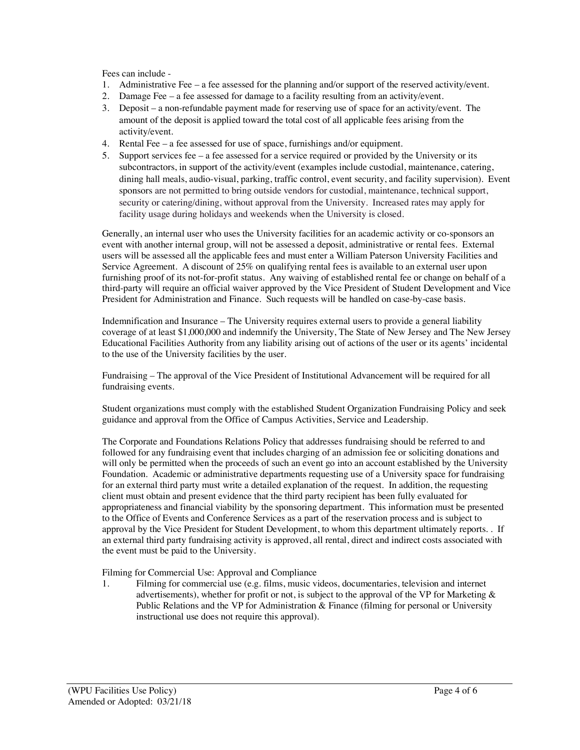Fees can include -

- 1. Administrative Fee a fee assessed for the planning and/or support of the reserved activity/event.
- 2. Damage Fee a fee assessed for damage to a facility resulting from an activity/event.
- 3. Deposit a non-refundable payment made for reserving use of space for an activity/event. The amount of the deposit is applied toward the total cost of all applicable fees arising from the activity/event.
- 4. Rental Fee a fee assessed for use of space, furnishings and/or equipment.
- 5. Support services fee a fee assessed for a service required or provided by the University or its subcontractors, in support of the activity/event (examples include custodial, maintenance, catering, dining hall meals, audio-visual, parking, traffic control, event security, and facility supervision). Event sponsors are not permitted to bring outside vendors for custodial, maintenance, technical support, security or catering/dining, without approval from the University. Increased rates may apply for facility usage during holidays and weekends when the University is closed.

Generally, an internal user who uses the University facilities for an academic activity or co-sponsors an event with another internal group, will not be assessed a deposit, administrative or rental fees. External users will be assessed all the applicable fees and must enter a William Paterson University Facilities and Service Agreement. A discount of 25% on qualifying rental fees is available to an external user upon furnishing proof of its not-for-profit status. Any waiving of established rental fee or change on behalf of a third-party will require an official waiver approved by the Vice President of Student Development and Vice President for Administration and Finance. Such requests will be handled on case-by-case basis.

Indemnification and Insurance – The University requires external users to provide a general liability coverage of at least \$1,000,000 and indemnify the University, The State of New Jersey and The New Jersey Educational Facilities Authority from any liability arising out of actions of the user or its agents' incidental to the use of the University facilities by the user.

Fundraising – The approval of the Vice President of Institutional Advancement will be required for all fundraising events.

Student organizations must comply with the established Student Organization Fundraising Policy and seek guidance and approval from the Office of Campus Activities, Service and Leadership.

The Corporate and Foundations Relations Policy that addresses fundraising should be referred to and followed for any fundraising event that includes charging of an admission fee or soliciting donations and will only be permitted when the proceeds of such an event go into an account established by the University Foundation. Academic or administrative departments requesting use of a University space for fundraising for an external third party must write a detailed explanation of the request. In addition, the requesting client must obtain and present evidence that the third party recipient has been fully evaluated for appropriateness and financial viability by the sponsoring department. This information must be presented to the Office of Events and Conference Services as a part of the reservation process and is subject to approval by the Vice President for Student Development, to whom this department ultimately reports. . If an external third party fundraising activity is approved, all rental, direct and indirect costs associated with the event must be paid to the University*.*

Filming for Commercial Use: Approval and Compliance

1. Filming for commercial use (e.g. films, music videos, documentaries, television and internet advertisements), whether for profit or not, is subject to the approval of the VP for Marketing  $\&$ Public Relations and the VP for Administration & Finance (filming for personal or University instructional use does not require this approval).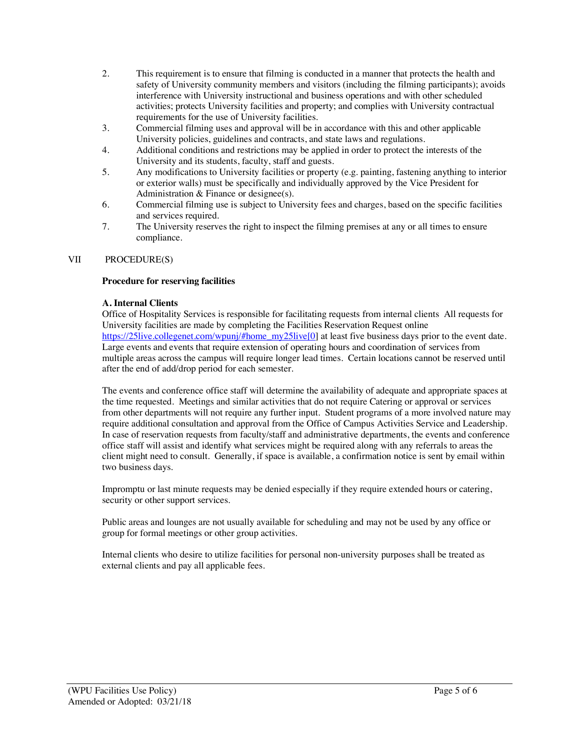- 2. This requirement is to ensure that filming is conducted in a manner that protects the health and safety of University community members and visitors (including the filming participants); avoids interference with University instructional and business operations and with other scheduled activities; protects University facilities and property; and complies with University contractual requirements for the use of University facilities.
- 3. Commercial filming uses and approval will be in accordance with this and other applicable University policies, guidelines and contracts, and state laws and regulations.
- 4. Additional conditions and restrictions may be applied in order to protect the interests of the University and its students, faculty, staff and guests.
- 5. Any modifications to University facilities or property (e.g. painting, fastening anything to interior or exterior walls) must be specifically and individually approved by the Vice President for Administration & Finance or designee(s).
- 6. Commercial filming use is subject to University fees and charges, based on the specific facilities and services required.
- 7. The University reserves the right to inspect the filming premises at any or all times to ensure compliance.

## VII PROCEDURE(S)

## **Procedure for reserving facilities**

## **A. Internal Clients**

Office of Hospitality Services is responsible for facilitating requests from internal clients All requests for University facilities are made by completing the Facilities Reservation Request online https://25live.collegenet.com/wpunj/#home\_my25live[0] at least five business days prior to the event date. Large events and events that require extension of operating hours and coordination of services from multiple areas across the campus will require longer lead times. Certain locations cannot be reserved until after the end of add/drop period for each semester.

The events and conference office staff will determine the availability of adequate and appropriate spaces at the time requested. Meetings and similar activities that do not require Catering or approval or services from other departments will not require any further input. Student programs of a more involved nature may require additional consultation and approval from the Office of Campus Activities Service and Leadership. In case of reservation requests from faculty/staff and administrative departments, the events and conference office staff will assist and identify what services might be required along with any referrals to areas the client might need to consult. Generally, if space is available, a confirmation notice is sent by email within two business days.

Impromptu or last minute requests may be denied especially if they require extended hours or catering, security or other support services.

Public areas and lounges are not usually available for scheduling and may not be used by any office or group for formal meetings or other group activities.

Internal clients who desire to utilize facilities for personal non-university purposes shall be treated as external clients and pay all applicable fees.